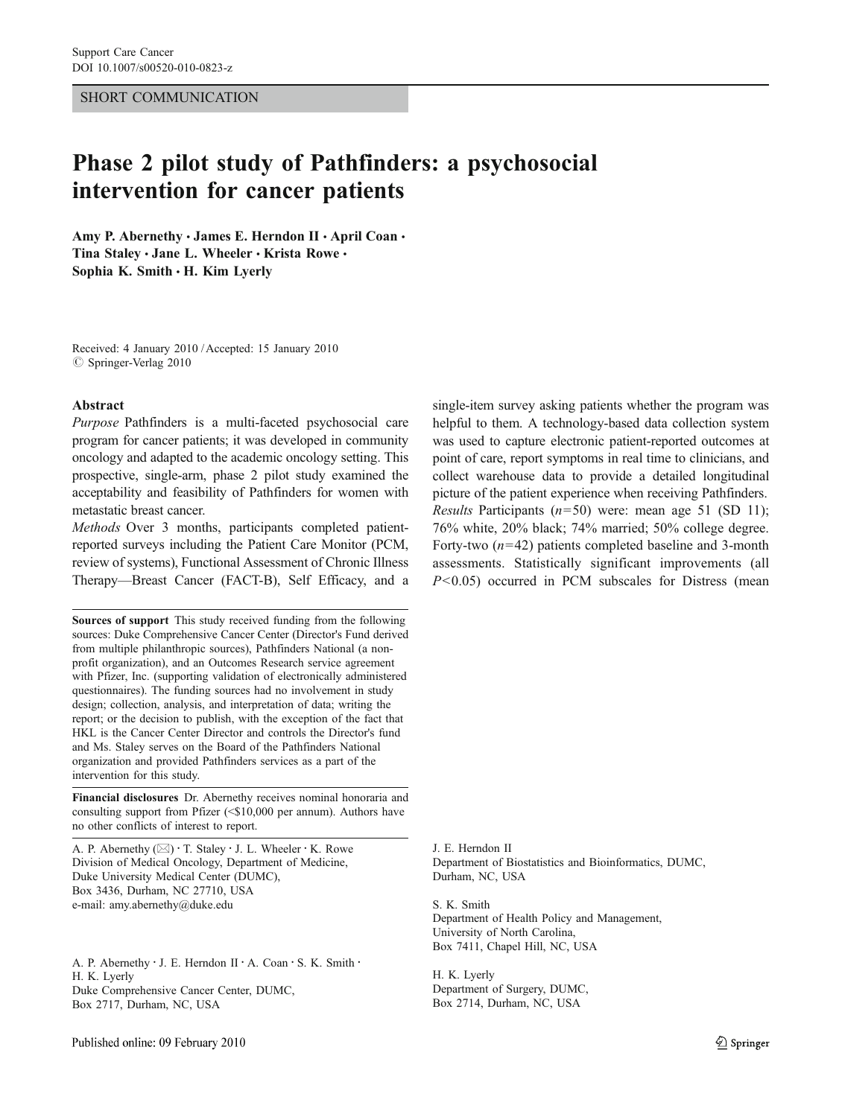#### SHORT COMMUNICATION

# Phase 2 pilot study of Pathfinders: a psychosocial intervention for cancer patients

Amy P. Abernethy · James E. Herndon II · April Coan · Tina Staley · Jane L. Wheeler · Krista Rowe · Sophia K. Smith  $\cdot$  H. Kim Lyerly

Received: 4 January 2010 /Accepted: 15 January 2010  $\oslash$  Springer-Verlag 2010

#### Abstract

Purpose Pathfinders is a multi-faceted psychosocial care program for cancer patients; it was developed in community oncology and adapted to the academic oncology setting. This prospective, single-arm, phase 2 pilot study examined the acceptability and feasibility of Pathfinders for women with metastatic breast cancer.

Methods Over 3 months, participants completed patientreported surveys including the Patient Care Monitor (PCM, review of systems), Functional Assessment of Chronic Illness Therapy—Breast Cancer (FACT-B), Self Efficacy, and a

Sources of support This study received funding from the following sources: Duke Comprehensive Cancer Center (Director's Fund derived from multiple philanthropic sources), Pathfinders National (a nonprofit organization), and an Outcomes Research service agreement with Pfizer, Inc. (supporting validation of electronically administered questionnaires). The funding sources had no involvement in study design; collection, analysis, and interpretation of data; writing the report; or the decision to publish, with the exception of the fact that HKL is the Cancer Center Director and controls the Director's fund and Ms. Staley serves on the Board of the Pathfinders National organization and provided Pathfinders services as a part of the intervention for this study.

Financial disclosures Dr. Abernethy receives nominal honoraria and consulting support from Pfizer (<\$10,000 per annum). Authors have no other conflicts of interest to report.

A. P. Abernethy ( $\boxtimes$ ) · T. Staley · J. L. Wheeler · K. Rowe Division of Medical Oncology, Department of Medicine, Duke University Medical Center (DUMC), Box 3436, Durham, NC 27710, USA e-mail: amy.abernethy@duke.edu

A. P. Abernethy · J. E. Herndon II · A. Coan · S. K. Smith · H. K. Lyerly Duke Comprehensive Cancer Center, DUMC, Box 2717, Durham, NC, USA

single-item survey asking patients whether the program was helpful to them. A technology-based data collection system was used to capture electronic patient-reported outcomes at point of care, report symptoms in real time to clinicians, and collect warehouse data to provide a detailed longitudinal picture of the patient experience when receiving Pathfinders. *Results* Participants  $(n=50)$  were: mean age 51 (SD 11); 76% white, 20% black; 74% married; 50% college degree. Forty-two  $(n=42)$  patients completed baseline and 3-month assessments. Statistically significant improvements (all  $P<0.05$ ) occurred in PCM subscales for Distress (mean

J. E. Herndon II Department of Biostatistics and Bioinformatics, DUMC, Durham, NC, USA

S. K. Smith Department of Health Policy and Management, University of North Carolina, Box 7411, Chapel Hill, NC, USA

H. K. Lyerly Department of Surgery, DUMC, Box 2714, Durham, NC, USA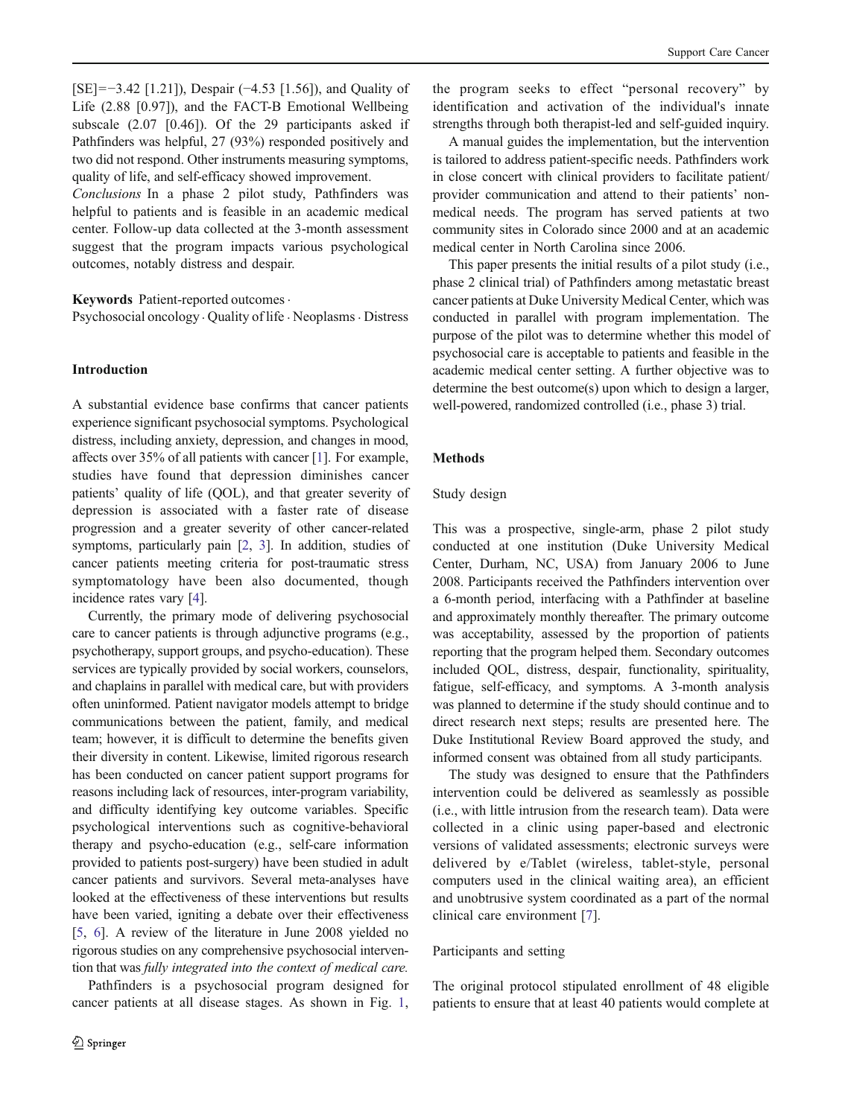[SE]=−3.42 [1.21]), Despair (−4.53 [1.56]), and Quality of Life (2.88 [0.97]), and the FACT-B Emotional Wellbeing subscale (2.07 [0.46]). Of the 29 participants asked if Pathfinders was helpful, 27 (93%) responded positively and two did not respond. Other instruments measuring symptoms, quality of life, and self-efficacy showed improvement.

Conclusions In a phase 2 pilot study, Pathfinders was helpful to patients and is feasible in an academic medical center. Follow-up data collected at the 3-month assessment suggest that the program impacts various psychological outcomes, notably distress and despair.

# Keywords Patient-reported outcomes.

Psychosocial oncology  $\cdot$  Quality of life  $\cdot$  Neoplasms  $\cdot$  Distress

# Introduction

A substantial evidence base confirms that cancer patients experience significant psychosocial symptoms. Psychological distress, including anxiety, depression, and changes in mood, affects over 35% of all patients with cancer [[1\]](#page-5-0). For example, studies have found that depression diminishes cancer patients' quality of life (QOL), and that greater severity of depression is associated with a faster rate of disease progression and a greater severity of other cancer-related symptoms, particularly pain [\[2](#page-5-0), [3](#page-5-0)]. In addition, studies of cancer patients meeting criteria for post-traumatic stress symptomatology have been also documented, though incidence rates vary [\[4](#page-5-0)].

Currently, the primary mode of delivering psychosocial care to cancer patients is through adjunctive programs (e.g., psychotherapy, support groups, and psycho-education). These services are typically provided by social workers, counselors, and chaplains in parallel with medical care, but with providers often uninformed. Patient navigator models attempt to bridge communications between the patient, family, and medical team; however, it is difficult to determine the benefits given their diversity in content. Likewise, limited rigorous research has been conducted on cancer patient support programs for reasons including lack of resources, inter-program variability, and difficulty identifying key outcome variables. Specific psychological interventions such as cognitive-behavioral therapy and psycho-education (e.g., self-care information provided to patients post-surgery) have been studied in adult cancer patients and survivors. Several meta-analyses have looked at the effectiveness of these interventions but results have been varied, igniting a debate over their effectiveness [\[5](#page-5-0), [6](#page-5-0)]. A review of the literature in June 2008 yielded no rigorous studies on any comprehensive psychosocial intervention that was fully integrated into the context of medical care.

Pathfinders is a psychosocial program designed for cancer patients at all disease stages. As shown in Fig. [1,](#page-2-0)

the program seeks to effect "personal recovery" by identification and activation of the individual's innate strengths through both therapist-led and self-guided inquiry.

A manual guides the implementation, but the intervention is tailored to address patient-specific needs. Pathfinders work in close concert with clinical providers to facilitate patient/ provider communication and attend to their patients' nonmedical needs. The program has served patients at two community sites in Colorado since 2000 and at an academic medical center in North Carolina since 2006.

This paper presents the initial results of a pilot study (i.e., phase 2 clinical trial) of Pathfinders among metastatic breast cancer patients at Duke University Medical Center, which was conducted in parallel with program implementation. The purpose of the pilot was to determine whether this model of psychosocial care is acceptable to patients and feasible in the academic medical center setting. A further objective was to determine the best outcome(s) upon which to design a larger, well-powered, randomized controlled (i.e., phase 3) trial.

#### Methods

#### Study design

This was a prospective, single-arm, phase 2 pilot study conducted at one institution (Duke University Medical Center, Durham, NC, USA) from January 2006 to June 2008. Participants received the Pathfinders intervention over a 6-month period, interfacing with a Pathfinder at baseline and approximately monthly thereafter. The primary outcome was acceptability, assessed by the proportion of patients reporting that the program helped them. Secondary outcomes included QOL, distress, despair, functionality, spirituality, fatigue, self-efficacy, and symptoms. A 3-month analysis was planned to determine if the study should continue and to direct research next steps; results are presented here. The Duke Institutional Review Board approved the study, and informed consent was obtained from all study participants.

The study was designed to ensure that the Pathfinders intervention could be delivered as seamlessly as possible (i.e., with little intrusion from the research team). Data were collected in a clinic using paper-based and electronic versions of validated assessments; electronic surveys were delivered by e/Tablet (wireless, tablet-style, personal computers used in the clinical waiting area), an efficient and unobtrusive system coordinated as a part of the normal clinical care environment [\[7](#page-5-0)].

#### Participants and setting

The original protocol stipulated enrollment of 48 eligible patients to ensure that at least 40 patients would complete at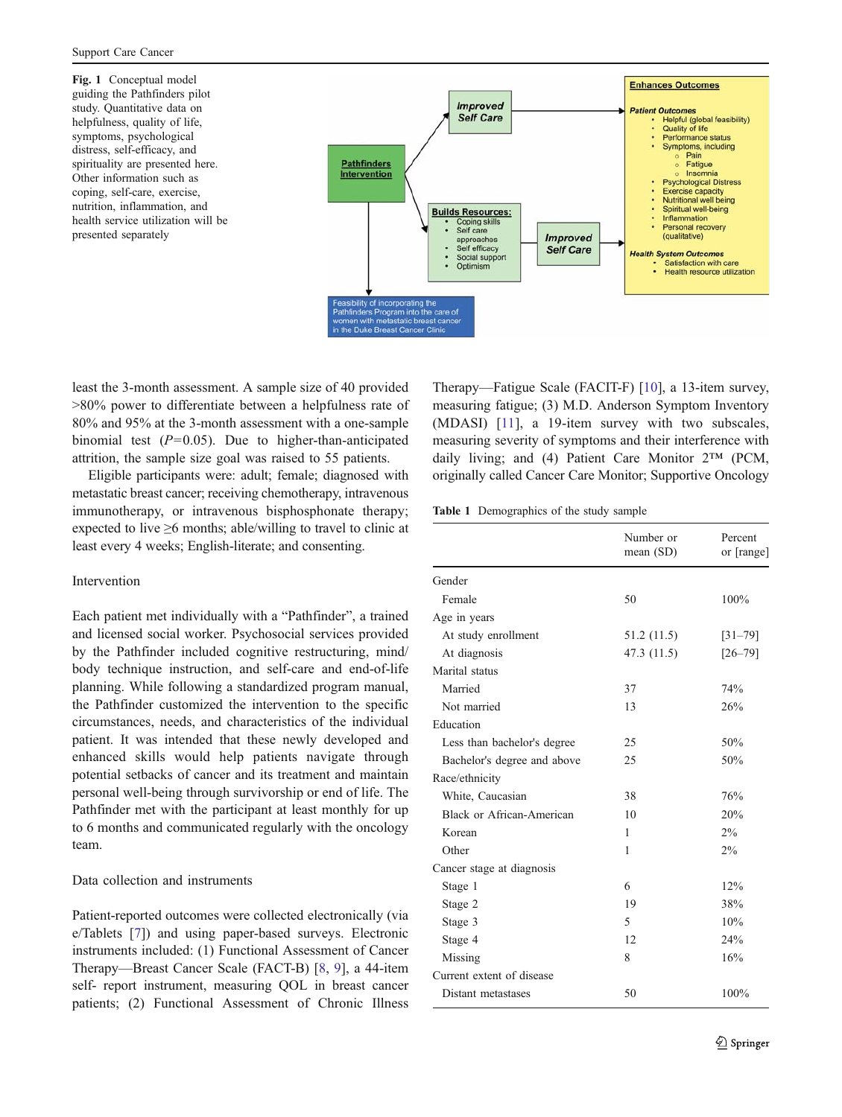<span id="page-2-0"></span>Fig. 1 Conceptual model guiding the Pathfinders pilot study. Quantitative data on helpfulness, quality of life, symptoms, psychological distress, self-efficacy, and spirituality are presented here. Other information such as coping, self-care, exercise, nutrition, inflammation, and health service utilization will be presented separately



least the 3-month assessment. A sample size of 40 provided >80% power to differentiate between a helpfulness rate of 80% and 95% at the 3-month assessment with a one-sample binomial test  $(P=0.05)$ . Due to higher-than-anticipated attrition, the sample size goal was raised to 55 patients.

Eligible participants were: adult; female; diagnosed with metastatic breast cancer; receiving chemotherapy, intravenous immunotherapy, or intravenous bisphosphonate therapy; expected to live ≥6 months; able/willing to travel to clinic at least every 4 weeks; English-literate; and consenting.

# Intervention

Each patient met individually with a "Pathfinder", a trained and licensed social worker. Psychosocial services provided by the Pathfinder included cognitive restructuring, mind/ body technique instruction, and self-care and end-of-life planning. While following a standardized program manual, the Pathfinder customized the intervention to the specific circumstances, needs, and characteristics of the individual patient. It was intended that these newly developed and enhanced skills would help patients navigate through potential setbacks of cancer and its treatment and maintain personal well-being through survivorship or end of life. The Pathfinder met with the participant at least monthly for up to 6 months and communicated regularly with the oncology team.

# Data collection and instruments

Patient-reported outcomes were collected electronically (via e/Tablets [[7\]](#page-5-0)) and using paper-based surveys. Electronic instruments included: (1) Functional Assessment of Cancer Therapy—Breast Cancer Scale (FACT-B) [[8,](#page-5-0) [9](#page-5-0)], a 44-item self- report instrument, measuring QOL in breast cancer patients; (2) Functional Assessment of Chronic Illness Therapy—Fatigue Scale (FACIT-F) [\[10](#page-5-0)], a 13-item survey, measuring fatigue; (3) M.D. Anderson Symptom Inventory (MDASI) [[11](#page-5-0)], a 19-item survey with two subscales, measuring severity of symptoms and their interference with daily living; and (4) Patient Care Monitor 2*™* (PCM, originally called Cancer Care Monitor; Supportive Oncology

Table 1 Demographics of the study sample

|                             | Number or<br>mean $(SD)$ | Percent<br>or [range] |
|-----------------------------|--------------------------|-----------------------|
| Gender                      |                          |                       |
| Female                      | 50                       | 100%                  |
| Age in years                |                          |                       |
| At study enrollment         | 51.2 (11.5)              | $[31 - 79]$           |
| At diagnosis                | 47.3 (11.5)              | $[26 - 79]$           |
| Marital status              |                          |                       |
| Married                     | 37                       | 74%                   |
| Not married                 | 13                       | 26%                   |
| Education                   |                          |                       |
| Less than bachelor's degree | 25                       | 50%                   |
| Bachelor's degree and above | 25                       | 50%                   |
| Race/ethnicity              |                          |                       |
| White, Caucasian            | 38                       | 76%                   |
| Black or African-American   | 10                       | 20%                   |
| Korean                      | 1                        | $2\%$                 |
| Other                       | 1                        | $2\%$                 |
| Cancer stage at diagnosis   |                          |                       |
| Stage 1                     | 6                        | 12%                   |
| Stage 2                     | 19                       | 38%                   |
| Stage 3                     | $\overline{\phantom{0}}$ | 10%                   |
| Stage 4                     | 12                       | 24%                   |
| Missing                     | 8                        | 16%                   |
| Current extent of disease   |                          |                       |
| Distant metastases          | 50                       | 100%                  |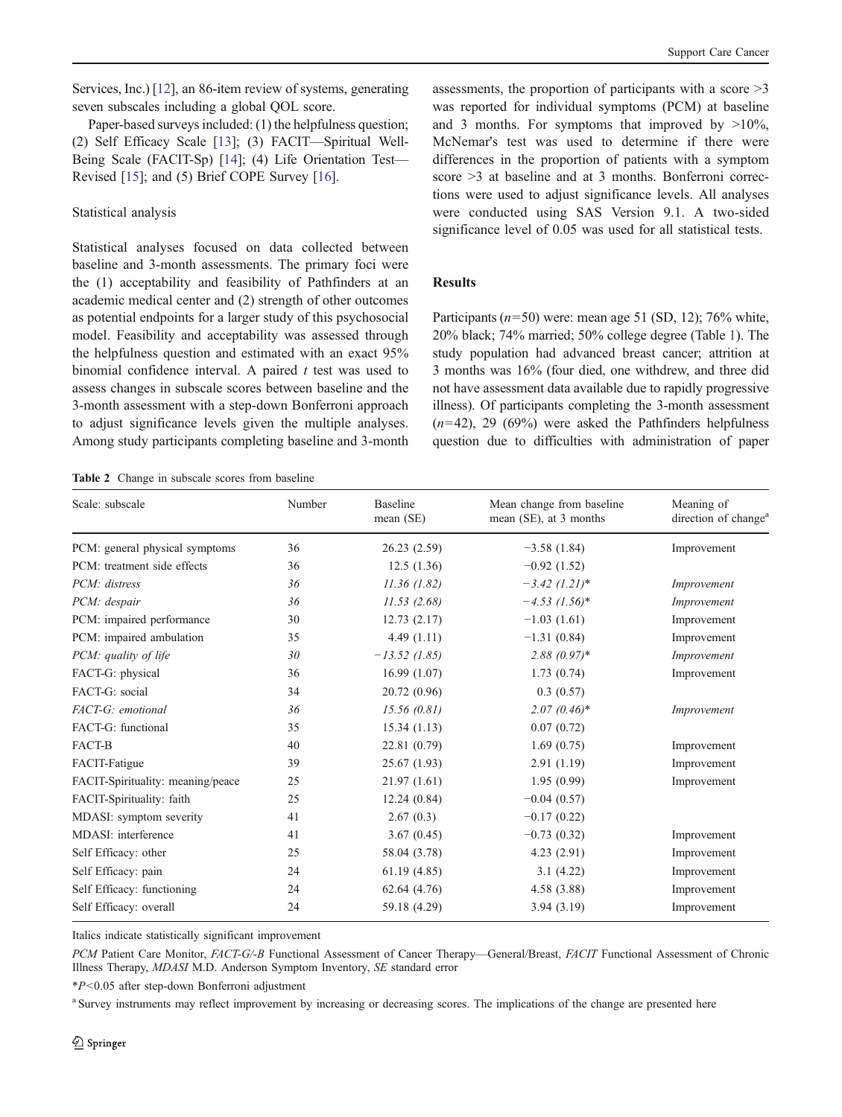<span id="page-3-0"></span>Services, Inc.) [\[12\]](#page-5-0), an 86-item review of systems, generating seven subscales including a global QOL score.

Paper-based surveys included: (1) the helpfulness question; (2) Self Efficacy Scale [\[13\]](#page-5-0); (3) FACIT—Spiritual Well-Being Scale (FACIT-Sp) [\[14](#page-5-0)]; (4) Life Orientation Test— Revised [[15\]](#page-5-0); and (5) Brief COPE Survey [[16](#page-5-0)].

#### Statistical analysis

Statistical analyses focused on data collected between baseline and 3-month assessments. The primary foci were the (1) acceptability and feasibility of Pathfinders at an academic medical center and (2) strength of other outcomes as potential endpoints for a larger study of this psychosocial model. Feasibility and acceptability was assessed through the helpfulness question and estimated with an exact 95% binomial confidence interval. A paired  $t$  test was used to assess changes in subscale scores between baseline and the 3-month assessment with a step-down Bonferroni approach to adjust significance levels given the multiple analyses. Among study participants completing baseline and 3-month

assessments, the proportion of participants with a score  $\geq$ 3 was reported for individual symptoms (PCM) at baseline and 3 months. For symptoms that improved by  $>10\%$ , McNemar's test was used to determine if there were differences in the proportion of patients with a symptom score >3 at baseline and at 3 months. Bonferroni corrections were used to adjust significance levels. All analyses were conducted using SAS Version 9.1. A two-sided significance level of 0.05 was used for all statistical tests.

# **Results**

Participants ( $n=50$ ) were: mean age 51 (SD, 12); 76% white, 20% black; 74% married; 50% college degree (Table [1\)](#page-2-0). The study population had advanced breast cancer; attrition at 3 months was 16% (four died, one withdrew, and three did not have assessment data available due to rapidly progressive illness). Of participants completing the 3-month assessment  $(n=42)$ , 29 (69%) were asked the Pathfinders helpfulness question due to difficulties with administration of paper

Table 2 Change in subscale scores from baseline

| Scale: subscale                   | Number | <b>Baseline</b><br>mean (SE) | Mean change from baseline<br>mean (SE), at 3 months | Meaning of<br>direction of change <sup>a</sup> |
|-----------------------------------|--------|------------------------------|-----------------------------------------------------|------------------------------------------------|
| PCM: general physical symptoms    | 36     | 26.23(2.59)                  | $-3.58(1.84)$                                       | Improvement                                    |
| PCM: treatment side effects       | 36     | 12.5(1.36)                   | $-0.92(1.52)$                                       |                                                |
| PCM: distress                     | 36     | 11.36(1.82)                  | $-3.42$ (1.21)*                                     | Improvement                                    |
| PCM: despair                      | 36     | 11.53(2.68)                  | $-4.53$ (1.56)*                                     | Improvement                                    |
| PCM: impaired performance         | 30     | 12.73(2.17)                  | $-1.03(1.61)$                                       | Improvement                                    |
| PCM: impaired ambulation          | 35     | 4.49(1.11)                   | $-1.31(0.84)$                                       | Improvement                                    |
| PCM: quality of life              | 30     | $-13.52(1.85)$               | $2.88(0.97)$ *                                      | Improvement                                    |
| FACT-G: physical                  | 36     | 16.99(1.07)                  | 1.73(0.74)                                          | Improvement                                    |
| FACT-G: social                    | 34     | 20.72 (0.96)                 | 0.3(0.57)                                           |                                                |
| FACT-G: emotional                 | 36     | 15.56(0.81)                  | $2.07(0.46)^*$                                      | Improvement                                    |
| FACT-G: functional                | 35     | 15.34(1.13)                  | 0.07(0.72)                                          |                                                |
| FACT-B                            | 40     | 22.81 (0.79)                 | 1.69(0.75)                                          | Improvement                                    |
| FACIT-Fatigue                     | 39     | 25.67(1.93)                  | 2.91(1.19)                                          | Improvement                                    |
| FACIT-Spirituality: meaning/peace | 25     | 21.97(1.61)                  | 1.95(0.99)                                          | Improvement                                    |
| FACIT-Spirituality: faith         | 25     | 12.24(0.84)                  | $-0.04(0.57)$                                       |                                                |
| MDASI: symptom severity           | 41     | 2.67(0.3)                    | $-0.17(0.22)$                                       |                                                |
| MDASI: interference               | 41     | 3.67(0.45)                   | $-0.73(0.32)$                                       | Improvement                                    |
| Self Efficacy: other              | 25     | 58.04 (3.78)                 | 4.23(2.91)                                          | Improvement                                    |
| Self Efficacy: pain               | 24     | 61.19(4.85)                  | 3.1(4.22)                                           | Improvement                                    |
| Self Efficacy: functioning        | 24     | 62.64(4.76)                  | 4.58(3.88)                                          | Improvement                                    |
| Self Efficacy: overall            | 24     | 59.18 (4.29)                 | 3.94(3.19)                                          | Improvement                                    |

Italics indicate statistically significant improvement

PCM Patient Care Monitor, FACT-G/-B Functional Assessment of Cancer Therapy—General/Breast, FACIT Functional Assessment of Chronic Illness Therapy, MDASI M.D. Anderson Symptom Inventory, SE standard error

\*P<0.05 after step-down Bonferroni adjustment

<sup>a</sup> Survey instruments may reflect improvement by increasing or decreasing scores. The implications of the change are presented here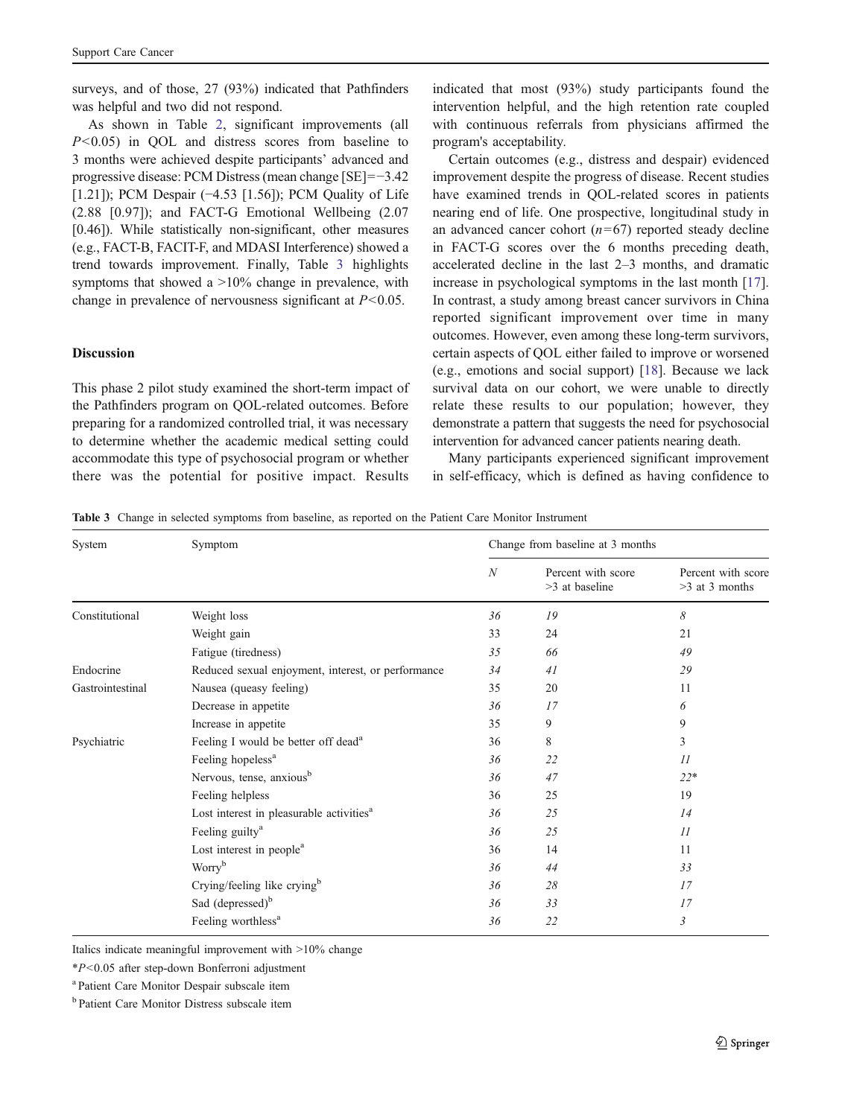surveys, and of those, 27 (93%) indicated that Pathfinders was helpful and two did not respond.

As shown in Table [2,](#page-3-0) significant improvements (all  $P \leq 0.05$  in OOL and distress scores from baseline to 3 months were achieved despite participants' advanced and progressive disease: PCM Distress (mean change [SE]=−3.42 [1.21]); PCM Despair (−4.53 [1.56]); PCM Quality of Life (2.88 [0.97]); and FACT-G Emotional Wellbeing (2.07 [0.46]). While statistically non-significant, other measures (e.g., FACT-B, FACIT-F, and MDASI Interference) showed a trend towards improvement. Finally, Table 3 highlights symptoms that showed a  $>10\%$  change in prevalence, with change in prevalence of nervousness significant at  $P < 0.05$ .

## Discussion

This phase 2 pilot study examined the short-term impact of the Pathfinders program on QOL-related outcomes. Before preparing for a randomized controlled trial, it was necessary to determine whether the academic medical setting could accommodate this type of psychosocial program or whether there was the potential for positive impact. Results

indicated that most (93%) study participants found the intervention helpful, and the high retention rate coupled with continuous referrals from physicians affirmed the program's acceptability.

Certain outcomes (e.g., distress and despair) evidenced improvement despite the progress of disease. Recent studies have examined trends in QOL-related scores in patients nearing end of life. One prospective, longitudinal study in an advanced cancer cohort  $(n=67)$  reported steady decline in FACT-G scores over the 6 months preceding death, accelerated decline in the last 2–3 months, and dramatic increase in psychological symptoms in the last month [[17\]](#page-5-0). In contrast, a study among breast cancer survivors in China reported significant improvement over time in many outcomes. However, even among these long-term survivors, certain aspects of QOL either failed to improve or worsened (e.g., emotions and social support) [[18\]](#page-5-0). Because we lack survival data on our cohort, we were unable to directly relate these results to our population; however, they demonstrate a pattern that suggests the need for psychosocial intervention for advanced cancer patients nearing death.

Many participants experienced significant improvement in self-efficacy, which is defined as having confidence to

Table 3 Change in selected symptoms from baseline, as reported on the Patient Care Monitor Instrument

| System           | Symptom                                              | Change from baseline at 3 months |                                      |                                        |  |
|------------------|------------------------------------------------------|----------------------------------|--------------------------------------|----------------------------------------|--|
|                  |                                                      | N                                | Percent with score<br>>3 at baseline | Percent with score<br>$>3$ at 3 months |  |
| Constitutional   | Weight loss                                          | 36                               | 19                                   | 8                                      |  |
|                  | Weight gain                                          | 33                               | 24                                   | 21                                     |  |
|                  | Fatigue (tiredness)                                  | 35                               | 66                                   | 49                                     |  |
| Endocrine        | Reduced sexual enjoyment, interest, or performance   | 34                               | 41                                   | 29                                     |  |
| Gastrointestinal | Nausea (queasy feeling)                              | 35                               | 20                                   | 11                                     |  |
|                  | Decrease in appetite                                 | 36                               | 17                                   | 6                                      |  |
|                  | Increase in appetite                                 | 35                               | 9                                    | 9                                      |  |
| Psychiatric      | Feeling I would be better off dead <sup>a</sup>      | 36                               | 8                                    | 3                                      |  |
|                  | Feeling hopeless <sup>a</sup>                        | 36                               | 22                                   | 11                                     |  |
|                  | Nervous, tense, anxious <sup>b</sup>                 | 36                               | 47                                   | $22*$                                  |  |
|                  | Feeling helpless                                     | 36                               | 25                                   | 19                                     |  |
|                  | Lost interest in pleasurable activities <sup>a</sup> | 36                               | 25                                   | 14                                     |  |
|                  | Feeling guilty <sup>a</sup>                          | 36                               | 25                                   | II                                     |  |
|                  | Lost interest in people <sup>a</sup>                 | 36                               | 14                                   | 11                                     |  |
|                  | Worry <sup>b</sup>                                   | 36                               | 44                                   | 33                                     |  |
|                  | Crying/feeling like crying <sup>b</sup>              | 36                               | 28                                   | 17                                     |  |
|                  | Sad (depressed) <sup>b</sup>                         | 36                               | 33                                   | 17                                     |  |
|                  | Feeling worthless <sup>a</sup>                       | 36                               | 22                                   | 3                                      |  |
|                  |                                                      |                                  |                                      |                                        |  |

Italics indicate meaningful improvement with >10% change

\*P<0.05 after step-down Bonferroni adjustment

a Patient Care Monitor Despair subscale item

<sup>b</sup> Patient Care Monitor Distress subscale item